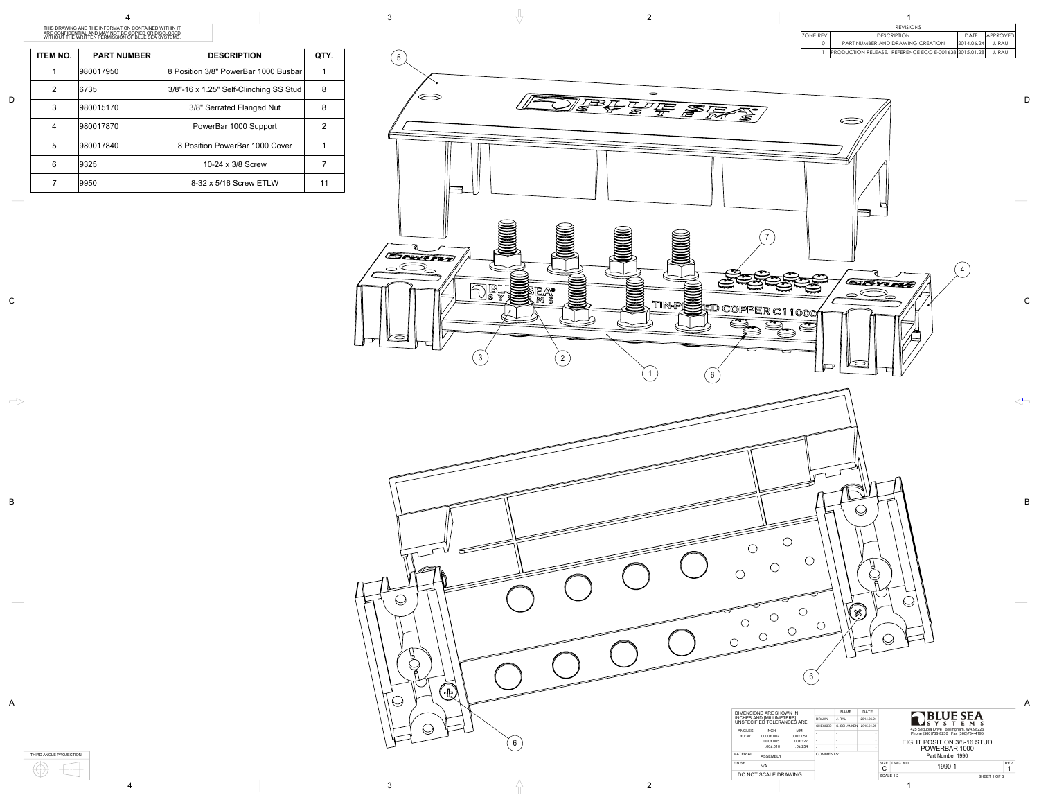THIRD ANGLE PROJECTION  $\bigoplus$  $\left| \rule{0.2cm}{0.4cm} \right|$ 

| <b>ITEM NO.</b> | <b>PART NUMBER</b> | <b>DESCRIPTION</b>                     | QTY. |
|-----------------|--------------------|----------------------------------------|------|
| 1               | 980017950          | 8 Position 3/8" PowerBar 1000 Busbar   |      |
| 2               | 6735               | 3/8"-16 x 1.25" Self-Clinching SS Stud | 8    |
| 3               | 980015170          | 3/8" Serrated Flanged Nut              | 8    |
| 4               | 980017870          | PowerBar 1000 Support                  | 2    |
| 5               | 980017840          | 8 Position PowerBar 1000 Cover         |      |
| 6               | 9325               | 10-24 x 3/8 Screw                      |      |
|                 | 9950               | 8-32 x 5/16 Screw ETLW                 |      |

A

B

C

 $\Rightarrow$ 

D

4



THIS DRAWING AND THE INFORMATION CONTAINED WITHIN IT ARE CONFIDENTIAL AND MAY NOT BE COPIED OR DISCLOSED WITHOUT THE WRITTEN PERMISSION OF BLUE SEA SYSTEMS.



| <b>U</b> | DIMENSIONS ARE SHOWN IN<br>INCHES AND [MILLIMETERS].<br>UNSPECIFIED TOLERANCES ARE:<br><b>INCH</b><br><b>ANGLES</b><br>МM<br>$.000 \pm .051$<br>±0°30'<br>$.0000 \pm .002$<br>$.00 + .127$<br>$.000 \pm .005$<br>$.0 + .254$<br>.001.010<br><b>MATERIAL</b><br><b>ASSEMBLY</b><br><b>FINISH</b><br>N/A<br>DO NOT SCALE DRAWING | DRAWN<br>CHECKED<br>COMMENTS: | <b>NAME</b><br>J. RAU<br>S. SCHANKEN 2015.01.29 | DATE<br>2014.06.24 | SIZE DWG. NO.<br>◡<br>SCALE 1:2 | <b>ARLUE SEA</b><br>STEMS<br>425 Sequoia Drive Bellingham, WA 98226<br>Phone (360)738-8230 Fax (360)734-4195<br>EIGHT POSITION 3/8-16 STUD<br>POWERBAR 1000<br>Part Number 1990<br>1990-1 | <b>REV</b><br>SHEET 1 OF 3 |  |
|----------|--------------------------------------------------------------------------------------------------------------------------------------------------------------------------------------------------------------------------------------------------------------------------------------------------------------------------------|-------------------------------|-------------------------------------------------|--------------------|---------------------------------|-------------------------------------------------------------------------------------------------------------------------------------------------------------------------------------------|----------------------------|--|
|          |                                                                                                                                                                                                                                                                                                                                |                               |                                                 |                    |                                 |                                                                                                                                                                                           |                            |  |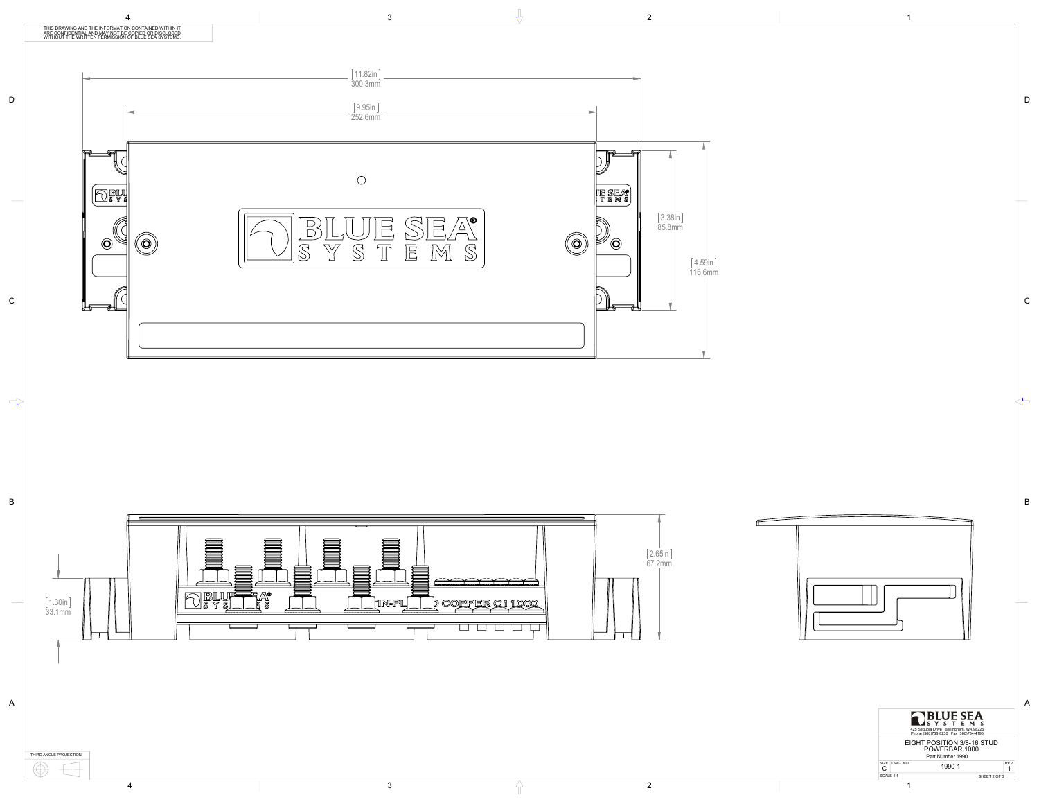B

 $\left\langle \right\rangle$ 

C

D